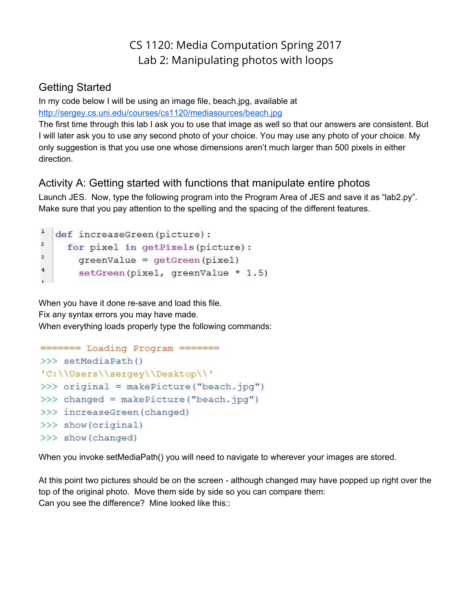# CS 1120: Media Computation Spring 2017 Lab 2: Manipulating photos with loops

### Getting Started

In my code below I will be using an image file, beach.jpg, available at <http://sergey.cs.uni.edu/courses/cs1120/mediasources/beach.jpg>

The first time through this lab I ask you to use that image as well so that our answers are consistent. But I will later ask you to use any second photo of your choice. You may use any photo of your choice. My only suggestion is that you use one whose dimensions aren't much larger than 500 pixels in either direction.

## Activity A: Getting started with functions that manipulate entire photos

Launch JES. Now, type the following program into the Program Area of JES and save it as "lab2.py". Make sure that you pay attention to the spelling and the spacing of the different features.

```
\mathbf{1}def increaseGreen (picture) :
\overline{c}for pixel in getPixels(picture):
3
        greenValue = qetGreen(pixel)\overline{4}setGreen(pixel, greenValue * 1.5)
```
When you have it done re-save and load this file. Fix any syntax errors you may have made. When everything loads properly type the following commands:

```
======= Loading Program =======
>>> setMediaPath()
'C:\\Users\\sergey\\Desktop\\'
>>> original = makePicture("beach.jpq")
>>> changed = makePicture("beach.jpg")
>>> increaseGreen (changed)
>>> show(original)
>>> show (changed)
```
When you invoke setMediaPath() you will need to navigate to wherever your images are stored.

At this point two pictures should be on the screen - although changed may have popped up right over the top of the original photo. Move them side by side so you can compare them: Can you see the difference? Mine looked like this::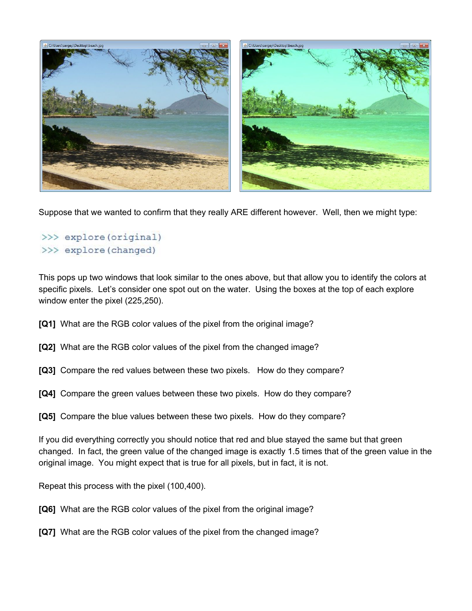

Suppose that we wanted to confirm that they really ARE different however. Well, then we might type:

#### >>> explore (original) >>> explore(changed)

This pops up two windows that look similar to the ones above, but that allow you to identify the colors at specific pixels. Let's consider one spot out on the water. Using the boxes at the top of each explore window enter the pixel (225,250).

- **[Q1]**  What are the RGB color values of the pixel from the original image?
- **[Q2]** What are the RGB color values of the pixel from the changed image?
- **[Q3]**  Compare the red values between these two pixels. How do they compare?
- **[Q4]**  Compare the green values between these two pixels. How do they compare?
- **[Q5]** Compare the blue values between these two pixels. How do they compare?

If you did everything correctly you should notice that red and blue stayed the same but that green changed. In fact, the green value of the changed image is exactly 1.5 times that of the green value in the original image. You might expect that is true for all pixels, but in fact, it is not.

Repeat this process with the pixel (100,400).

- **[Q6]** What are the RGB color values of the pixel from the original image?
- **[Q7]** What are the RGB color values of the pixel from the changed image?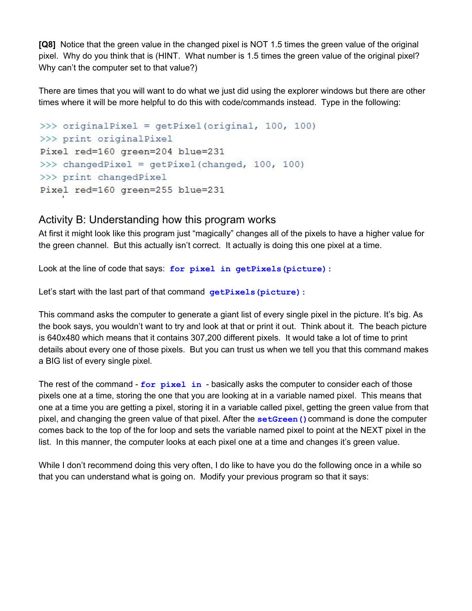**[Q8]** Notice that the green value in the changed pixel is NOT 1.5 times the green value of the original pixel. Why do you think that is (HINT. What number is 1.5 times the green value of the original pixel? Why can't the computer set to that value?)

There are times that you will want to do what we just did using the explorer windows but there are other times where it will be more helpful to do this with code/commands instead. Type in the following:

```
>>> originalPixel = getPixel(original, 100, 100)
>>> print originalPixel
Pixel red=160 green=204 blue=231
>>> changedPixel = getPixel(changed, 100, 100)
>>> print changedPixel
Pixel red=160 green=255 blue=231
```
#### Activity B: Understanding how this program works

At first it might look like this program just "magically" changes all of the pixels to have a higher value for the green channel. But this actually isn't correct. It actually is doing this one pixel at a time.

Look at the line of code that says: **for pixel in getPixels(picture):**

Let's start with the last part of that command **getPixels (picture)**:

This command asks the computer to generate a giant list of every single pixel in the picture. It's big. As the book says, you wouldn't want to try and look at that or print it out. Think about it. The beach picture is 640x480 which means that it contains 307,200 different pixels. It would take a lot of time to print details about every one of those pixels. But you can trust us when we tell you that this command makes a BIG list of every single pixel.

The rest of the command - **for pixel in** - basically asks the computer to consider each of those pixels one at a time, storing the one that you are looking at in a variable named pixel. This means that one at a time you are getting a pixel, storing it in a variable called pixel, getting the green value from that pixel, and changing the green value of that pixel. After the **setGreen()**command is done the computer comes back to the top of the for loop and sets the variable named pixel to point at the NEXT pixel in the list. In this manner, the computer looks at each pixel one at a time and changes it's green value.

While I don't recommend doing this very often, I do like to have you do the following once in a while so that you can understand what is going on. Modify your previous program so that it says: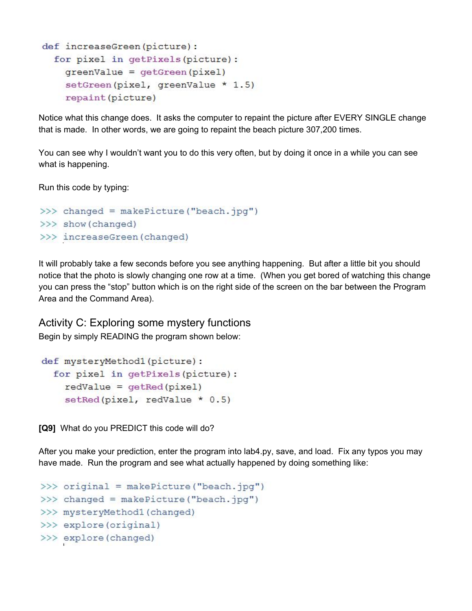```
def increaseGreen(picture):
  for pixel in getPixels (picture) :
    greenValue = getGreen(pixel)setGreen(pixel, greenValue * 1.5)
    repaint (picture)
```
Notice what this change does. It asks the computer to repaint the picture after EVERY SINGLE change that is made. In other words, we are going to repaint the beach picture 307,200 times.

You can see why I wouldn't want you to do this very often, but by doing it once in a while you can see what is happening.

Run this code by typing:

```
>>> changed = makePicture("beach.jpg")
>>> show (changed)
>>> increaseGreen (changed)
```
It will probably take a few seconds before you see anything happening. But after a little bit you should notice that the photo is slowly changing one row at a time. (When you get bored of watching this change you can press the "stop" button which is on the right side of the screen on the bar between the Program Area and the Command Area).

Activity C: Exploring some mystery functions

Begin by simply READING the program shown below:

```
def mysteryMethod1(picture):
  for pixel in getPixels (picture) :
    redvalue = qetRed(pixel)setRed(pixel, redValue * 0.5)
```
**[Q9]** What do you PREDICT this code will do?

After you make your prediction, enter the program into lab4.py, save, and load. Fix any typos you may have made. Run the program and see what actually happened by doing something like:

```
>>> original = makePicture("beach.jpg")
>>> changed = makePicture("beach.jpg")
>>> mysteryMethod1 (changed)
>>> explore (original)
>>> explore(changed)
```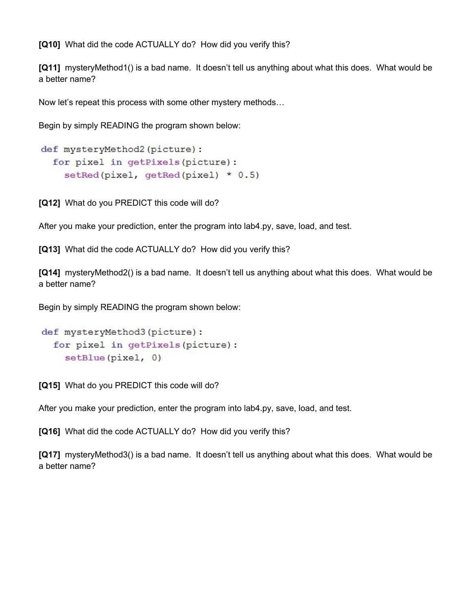**[Q10]** What did the code ACTUALLY do? How did you verify this?

**[Q11]** mysteryMethod1() is a bad name. It doesn't tell us anything about what this does. What would be a better name?

Now let's repeat this process with some other mystery methods…

Begin by simply READING the program shown below:

```
def mysteryMethod2(picture):
 for pixel in getPixels(picture):
    setRed(pixel, getRed(pixel) * 0.5)
```
**[Q12]** What do you PREDICT this code will do?

After you make your prediction, enter the program into lab4.py, save, load, and test.

**[Q13]**  What did the code ACTUALLY do? How did you verify this?

**[Q14]** mysteryMethod2() is a bad name. It doesn't tell us anything about what this does. What would be a better name?

Begin by simply READING the program shown below:

```
def mysteryMethod3(picture):
  for pixel in getPixels (picture) :
    setBlue(pixel, 0)
```
**[Q15]** What do you PREDICT this code will do?

After you make your prediction, enter the program into lab4.py, save, load, and test.

**[Q16]** What did the code ACTUALLY do? How did you verify this?

**[Q17]** mysteryMethod3() is a bad name. It doesn't tell us anything about what this does. What would be a better name?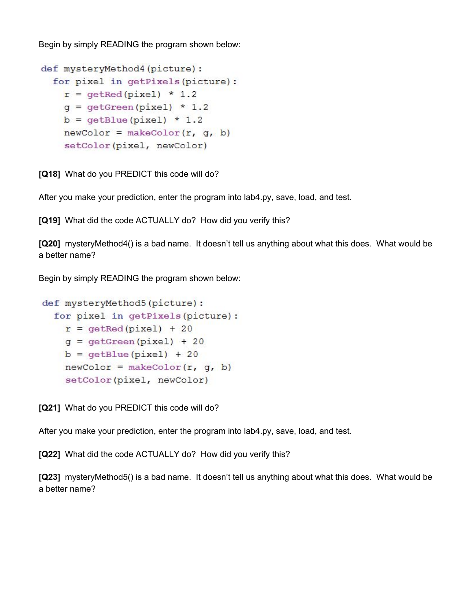Begin by simply READING the program shown below:

```
def mysteryMethod4(picture):
 for pixel in getPixels (picture) :
   r = qetRed(pixel) * 1.2q = qetGreen(pixel) * 1.2b = qetBlue(pixel) * 1.2newColor = makeColor(r, q, b)setColor(pixel, newColor)
```
**[Q18]** What do you PREDICT this code will do?

After you make your prediction, enter the program into lab4.py, save, load, and test.

**[Q19]** What did the code ACTUALLY do? How did you verify this?

**[Q20]** mysteryMethod4() is a bad name. It doesn't tell us anything about what this does. What would be a better name?

Begin by simply READING the program shown below:

```
def mysteryMethod5(picture):
 for pixel in getPixels (picture) :
   r = getRed(pixel) + 20q = qetGreen(pixel) + 20b = qetBlue(pixel) + 20newColor = makeColor(r, q, b)setColor(pixel, newColor)
```
**[Q21]** What do you PREDICT this code will do?

After you make your prediction, enter the program into lab4.py, save, load, and test.

**[Q22]** What did the code ACTUALLY do? How did you verify this?

**[Q23]** mysteryMethod5() is a bad name. It doesn't tell us anything about what this does. What would be a better name?